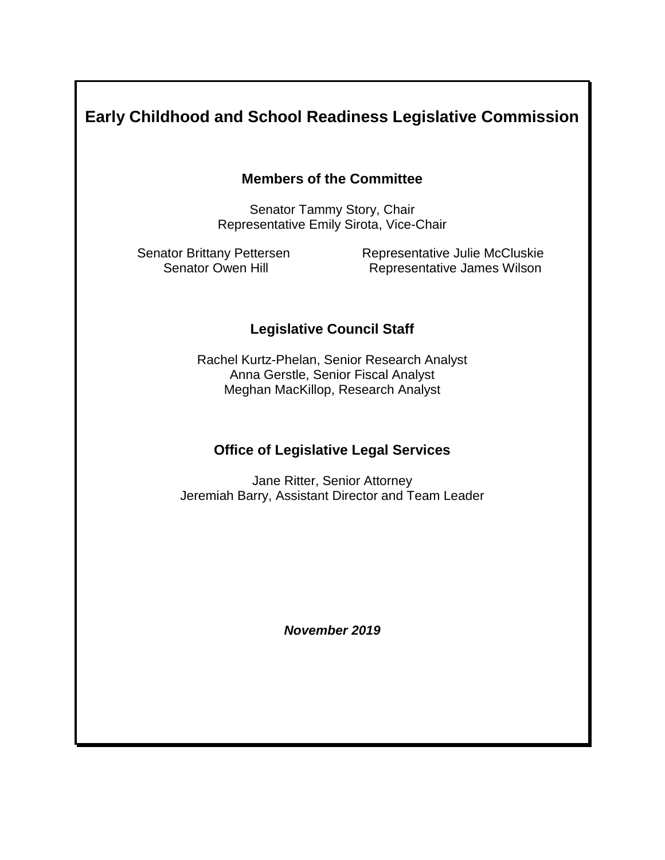# **Early Childhood and School Readiness Legislative Commission**

### **Members of the Committee**

Senator Tammy Story, Chair Representative Emily Sirota, Vice-Chair

Senator Brittany Pettersen Representative Julie McCluskie Senator Owen Hill **Representative James Wilson** 

### **Legislative Council Staff**

Rachel Kurtz-Phelan, Senior Research Analyst Anna Gerstle, Senior Fiscal Analyst Meghan MacKillop, Research Analyst

### **Office of Legislative Legal Services**

Jane Ritter, Senior Attorney Jeremiah Barry, Assistant Director and Team Leader

*November 2019*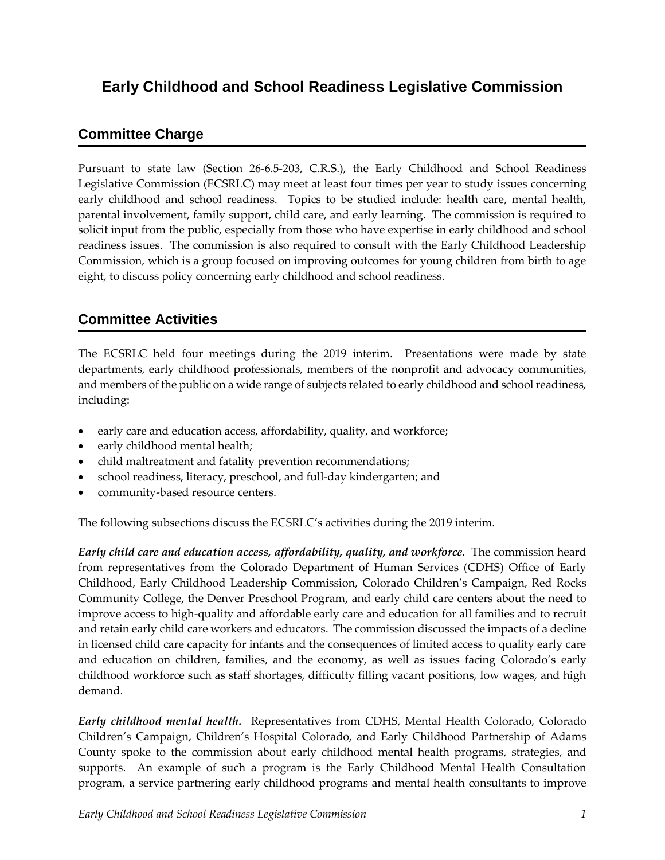# **Early Childhood and School Readiness Legislative Commission**

## **Committee Charge**

Pursuant to state law (Section 26-6.5-203, C.R.S.), the Early Childhood and School Readiness Legislative Commission (ECSRLC) may meet at least four times per year to study issues concerning early childhood and school readiness. Topics to be studied include: health care, mental health, parental involvement, family support, child care, and early learning. The commission is required to solicit input from the public, especially from those who have expertise in early childhood and school readiness issues. The commission is also required to consult with the Early Childhood Leadership Commission, which is a group focused on improving outcomes for young children from birth to age eight, to discuss policy concerning early childhood and school readiness.

# **Committee Activities**

The ECSRLC held four meetings during the 2019 interim. Presentations were made by state departments, early childhood professionals, members of the nonprofit and advocacy communities, and members of the public on a wide range of subjects related to early childhood and school readiness, including:

- early care and education access, affordability, quality, and workforce;
- early childhood mental health;
- child maltreatment and fatality prevention recommendations;
- school readiness, literacy, preschool, and full-day kindergarten; and
- community-based resource centers.

The following subsections discuss the ECSRLC's activities during the 2019 interim.

*Early child care and education access, affordability, quality, and workforce.* The commission heard from representatives from the Colorado Department of Human Services (CDHS) Office of Early Childhood, Early Childhood Leadership Commission, Colorado Children's Campaign, Red Rocks Community College, the Denver Preschool Program, and early child care centers about the need to improve access to high-quality and affordable early care and education for all families and to recruit and retain early child care workers and educators. The commission discussed the impacts of a decline in licensed child care capacity for infants and the consequences of limited access to quality early care and education on children, families, and the economy, as well as issues facing Colorado's early childhood workforce such as staff shortages, difficulty filling vacant positions, low wages, and high demand.

*Early childhood mental health.* Representatives from CDHS, Mental Health Colorado, Colorado Children's Campaign, Children's Hospital Colorado, and Early Childhood Partnership of Adams County spoke to the commission about early childhood mental health programs, strategies, and supports. An example of such a program is the Early Childhood Mental Health Consultation program, a service partnering early childhood programs and mental health consultants to improve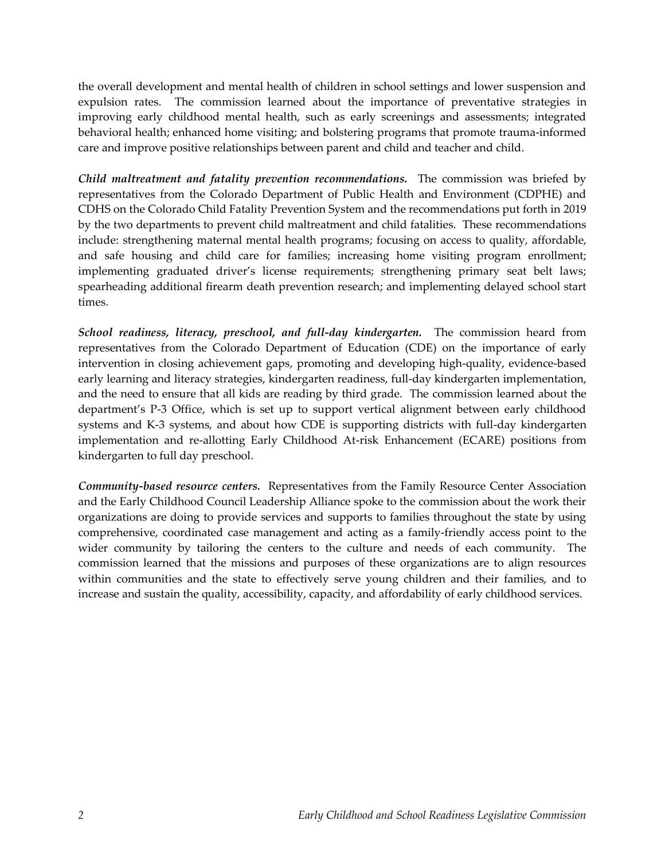the overall development and mental health of children in school settings and lower suspension and expulsion rates. The commission learned about the importance of preventative strategies in improving early childhood mental health, such as early screenings and assessments; integrated behavioral health; enhanced home visiting; and bolstering programs that promote trauma-informed care and improve positive relationships between parent and child and teacher and child.

*Child maltreatment and fatality prevention recommendations.* The commission was briefed by representatives from the Colorado Department of Public Health and Environment (CDPHE) and CDHS on the Colorado Child Fatality Prevention System and the recommendations put forth in 2019 by the two departments to prevent child maltreatment and child fatalities. These recommendations include: strengthening maternal mental health programs; focusing on access to quality, affordable, and safe housing and child care for families; increasing home visiting program enrollment; implementing graduated driver's license requirements; strengthening primary seat belt laws; spearheading additional firearm death prevention research; and implementing delayed school start times.

*School readiness, literacy, preschool, and full-day kindergarten.* The commission heard from representatives from the Colorado Department of Education (CDE) on the importance of early intervention in closing achievement gaps, promoting and developing high-quality, evidence-based early learning and literacy strategies, kindergarten readiness, full-day kindergarten implementation, and the need to ensure that all kids are reading by third grade. The commission learned about the department's P-3 Office, which is set up to support vertical alignment between early childhood systems and K-3 systems, and about how CDE is supporting districts with full-day kindergarten implementation and re-allotting Early Childhood At-risk Enhancement (ECARE) positions from kindergarten to full day preschool.

**Community-based resource centers.** Representatives from the Family Resource Center Association and the Early Childhood Council Leadership Alliance spoke to the commission about the work their organizations are doing to provide services and supports to families throughout the state by using comprehensive, coordinated case management and acting as a family-friendly access point to the wider community by tailoring the centers to the culture and needs of each community. The commission learned that the missions and purposes of these organizations are to align resources within communities and the state to effectively serve young children and their families, and to increase and sustain the quality, accessibility, capacity, and affordability of early childhood services.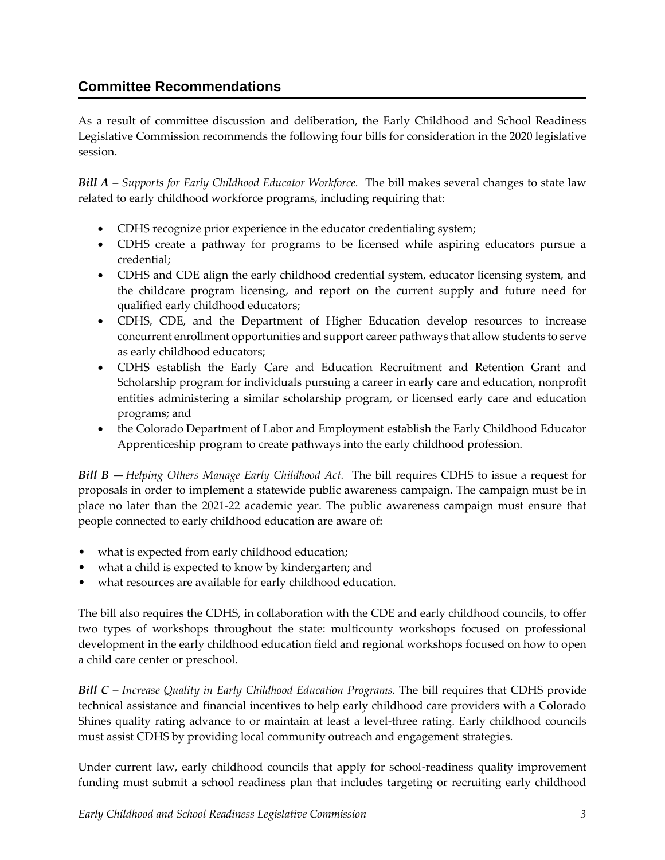## **Committee Recommendations**

As a result of committee discussion and deliberation, the Early Childhood and School Readiness Legislative Commission recommends the following four bills for consideration in the 2020 legislative session.

*Bill A – Supports for Early Childhood Educator Workforce.* The bill makes several changes to state law related to early childhood workforce programs, including requiring that:

- CDHS recognize prior experience in the educator credentialing system;
- CDHS create a pathway for programs to be licensed while aspiring educators pursue a credential;
- CDHS and CDE align the early childhood credential system, educator licensing system, and the childcare program licensing, and report on the current supply and future need for qualified early childhood educators;
- CDHS, CDE, and the Department of Higher Education develop resources to increase concurrent enrollment opportunities and support career pathways that allow students to serve as early childhood educators;
- CDHS establish the Early Care and Education Recruitment and Retention Grant and Scholarship program for individuals pursuing a career in early care and education, nonprofit entities administering a similar scholarship program, or licensed early care and education programs; and
- the Colorado Department of Labor and Employment establish the Early Childhood Educator Apprenticeship program to create pathways into the early childhood profession.

*Bill B — Helping Others Manage Early Childhood Act.* The bill requires CDHS to issue a request for proposals in order to implement a statewide public awareness campaign. The campaign must be in place no later than the 2021-22 academic year. The public awareness campaign must ensure that people connected to early childhood education are aware of:

- what is expected from early childhood education;
- what a child is expected to know by kindergarten; and
- what resources are available for early childhood education.

The bill also requires the CDHS, in collaboration with the CDE and early childhood councils, to offer two types of workshops throughout the state: multicounty workshops focused on professional development in the early childhood education field and regional workshops focused on how to open a child care center or preschool.

*Bill C – Increase Quality in Early Childhood Education Programs. The bill requires that CDHS provide* technical assistance and financial incentives to help early childhood care providers with a Colorado Shines quality rating advance to or maintain at least a level-three rating. Early childhood councils must assist CDHS by providing local community outreach and engagement strategies.

Under current law, early childhood councils that apply for school-readiness quality improvement funding must submit a school readiness plan that includes targeting or recruiting early childhood